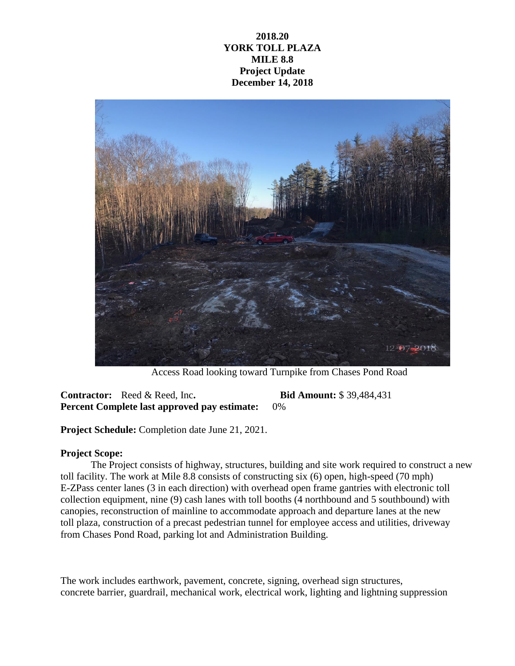## **2018.20 YORK TOLL PLAZA MILE 8.8 Project Update December 14, 2018**



Access Road looking toward Turnpike from Chases Pond Road

**Contractor:** Reed & Reed, Inc**. Bid Amount:** \$ 39,484,431 **Percent Complete last approved pay estimate:** 0%

**Project Schedule:** Completion date June 21, 2021.

## **Project Scope:**

The Project consists of highway, structures, building and site work required to construct a new toll facility. The work at Mile 8.8 consists of constructing six (6) open, high-speed (70 mph) E-ZPass center lanes (3 in each direction) with overhead open frame gantries with electronic toll collection equipment, nine (9) cash lanes with toll booths (4 northbound and 5 southbound) with canopies, reconstruction of mainline to accommodate approach and departure lanes at the new toll plaza, construction of a precast pedestrian tunnel for employee access and utilities, driveway from Chases Pond Road, parking lot and Administration Building.

The work includes earthwork, pavement, concrete, signing, overhead sign structures, concrete barrier, guardrail, mechanical work, electrical work, lighting and lightning suppression